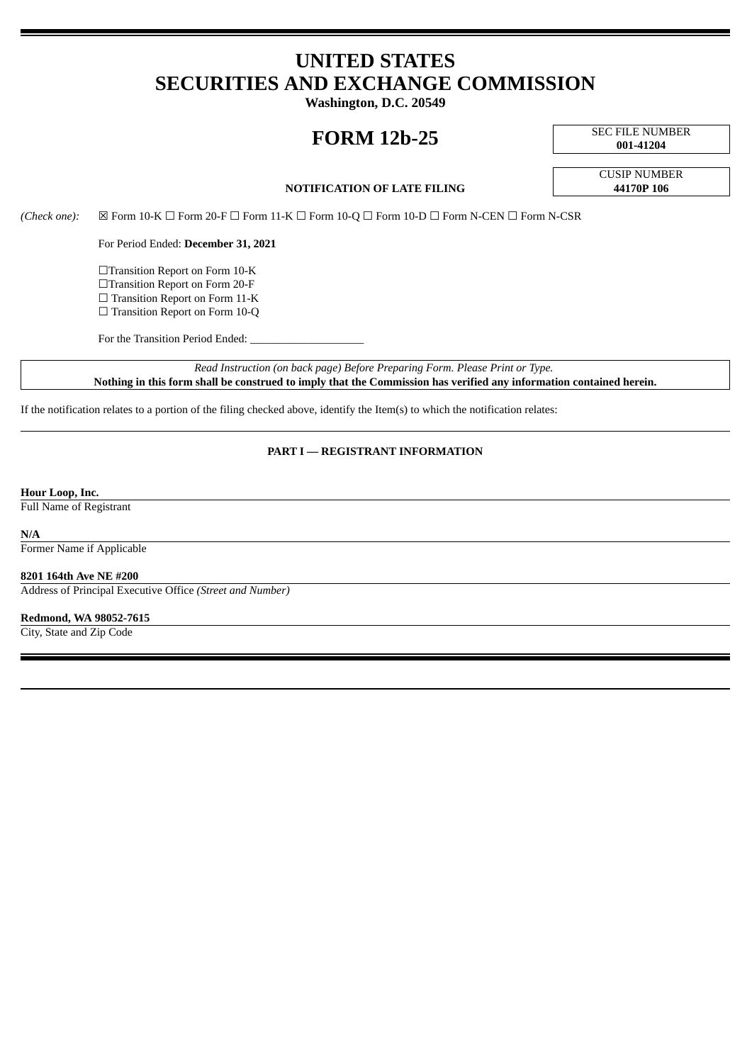## **UNITED STATES SECURITIES AND EXCHANGE COMMISSION**

**Washington, D.C. 20549**

# **FORM 12b-25** SEC FILE NUMBER

**001-41204**

### **NOTIFICATION OF LATE FILING 44170P 106**

CUSIP NUMBER

*(Check one):* ☒ Form 10-K ☐ Form 20-F ☐ Form 11-K ☐ Form 10-Q ☐ Form 10-D ☐ Form N-CEN ☐ Form N-CSR

For Period Ended: **December 31, 2021**

☐Transition Report on Form 10-K ☐Transition Report on Form 20-F □ Transition Report on Form 11-K

☐ Transition Report on Form 10-Q

For the Transition Period Ended:

*Read Instruction (on back page) Before Preparing Form. Please Print or Type.* Nothing in this form shall be construed to imply that the Commission has verified any information contained herein.

If the notification relates to a portion of the filing checked above, identify the Item(s) to which the notification relates:

## **PART I — REGISTRANT INFORMATION**

#### **Hour Loop, Inc.**

Full Name of Registrant

#### **N/A**

Former Name if Applicable

#### **8201 164th Ave NE #200**

Address of Principal Executive Office *(Street and Number)*

#### **Redmond, WA 98052-7615**

City, State and Zip Code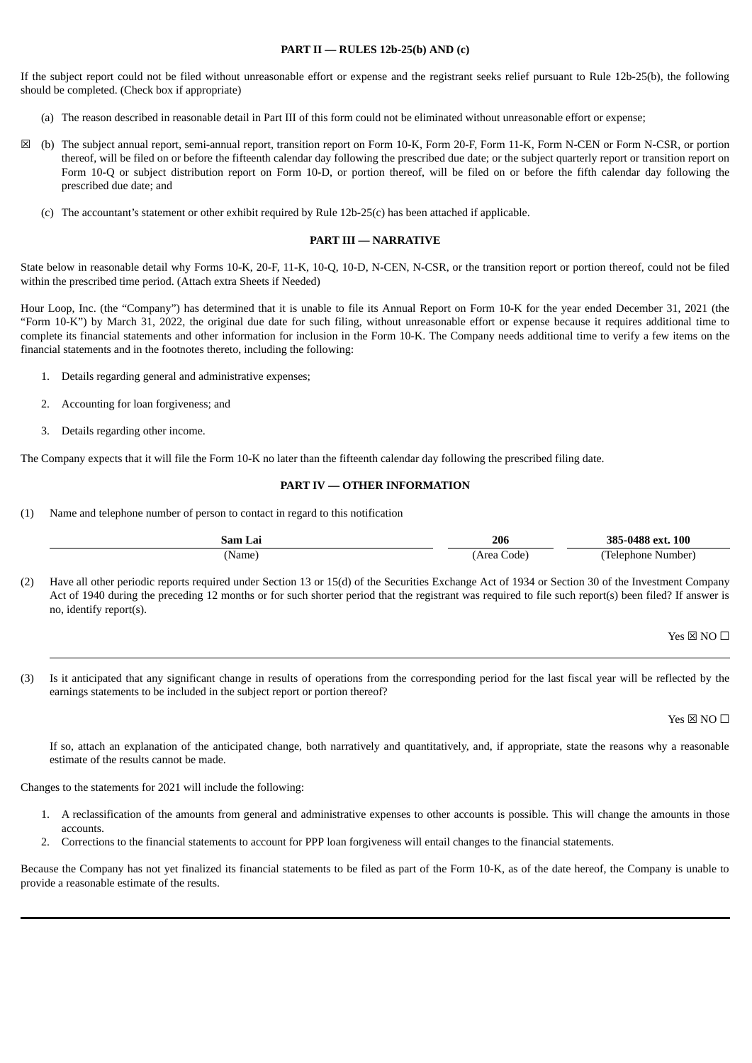#### **PART II — RULES 12b-25(b) AND (c)**

If the subject report could not be filed without unreasonable effort or expense and the registrant seeks relief pursuant to Rule 12b-25(b), the following should be completed. (Check box if appropriate)

- (a) The reason described in reasonable detail in Part III of this form could not be eliminated without unreasonable effort or expense;
- ☒ (b) The subject annual report, semi-annual report, transition report on Form 10-K, Form 20-F, Form 11-K, Form N-CEN or Form N-CSR, or portion thereof, will be filed on or before the fifteenth calendar day following the prescribed due date; or the subject quarterly report or transition report on Form 10-Q or subject distribution report on Form 10-D, or portion thereof, will be filed on or before the fifth calendar day following the prescribed due date; and
	- (c) The accountant's statement or other exhibit required by Rule 12b-25(c) has been attached if applicable.

#### **PART III — NARRATIVE**

State below in reasonable detail why Forms 10-K, 20-F, 11-K, 10-Q, 10-D, N-CEN, N-CSR, or the transition report or portion thereof, could not be filed within the prescribed time period. (Attach extra Sheets if Needed)

Hour Loop, Inc. (the "Company") has determined that it is unable to file its Annual Report on Form 10-K for the year ended December 31, 2021 (the "Form 10-K") by March 31, 2022, the original due date for such filing, without unreasonable effort or expense because it requires additional time to complete its financial statements and other information for inclusion in the Form 10-K. The Company needs additional time to verify a few items on the financial statements and in the footnotes thereto, including the following:

- 1. Details regarding general and administrative expenses;
- 2. Accounting for loan forgiveness; and
- 3. Details regarding other income.

The Company expects that it will file the Form 10-K no later than the fifteenth calendar day following the prescribed filing date.

#### **PART IV — OTHER INFORMATION**

(1) Name and telephone number of person to contact in regard to this notification

| sam<br>Lai | 206 | 100<br>385<br>-0488<br>. הדה |
|------------|-----|------------------------------|
| Name       | ode | Number.<br>Lelenhone         |

(2) Have all other periodic reports required under Section 13 or 15(d) of the Securities Exchange Act of 1934 or Section 30 of the Investment Company Act of 1940 during the preceding 12 months or for such shorter period that the registrant was required to file such report(s) been filed? If answer is no, identify report(s).

 $Yes \boxtimes NO \square$ 

(3) Is it anticipated that any significant change in results of operations from the corresponding period for the last fiscal year will be reflected by the earnings statements to be included in the subject report or portion thereof?

Yes  $\times$  NO  $\Box$ 

If so, attach an explanation of the anticipated change, both narratively and quantitatively, and, if appropriate, state the reasons why a reasonable estimate of the results cannot be made.

Changes to the statements for 2021 will include the following:

- 1. A reclassification of the amounts from general and administrative expenses to other accounts is possible. This will change the amounts in those accounts.
- 2. Corrections to the financial statements to account for PPP loan forgiveness will entail changes to the financial statements.

Because the Company has not yet finalized its financial statements to be filed as part of the Form 10-K, as of the date hereof, the Company is unable to provide a reasonable estimate of the results.